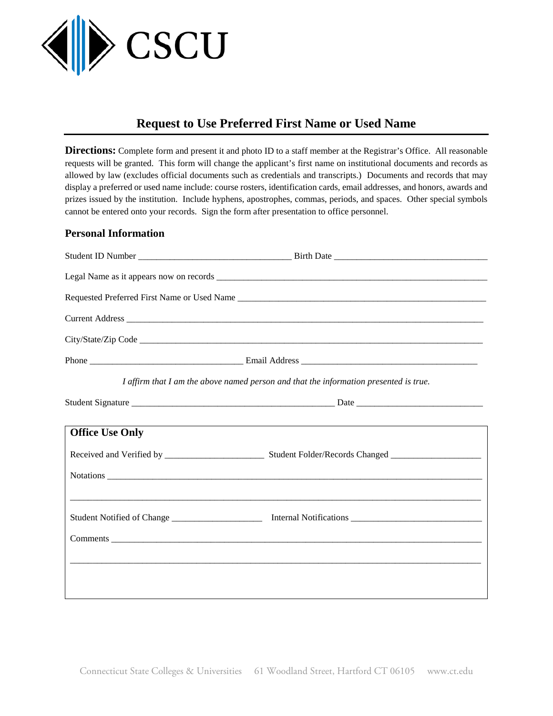

# **Request to Use Preferred First Name or Used Name**

**Directions:** Complete form and present it and photo ID to a staff member at the Registrar's Office. All reasonable requests will be granted. This form will change the applicant's first name on institutional documents and records as allowed by law (excludes official documents such as credentials and transcripts.) Documents and records that may display a preferred or used name include: course rosters, identification cards, email addresses, and honors, awards and prizes issued by the institution. Include hyphens, apostrophes, commas, periods, and spaces. Other special symbols cannot be entered onto your records. Sign the form after presentation to office personnel.

## **Personal Information**

| I affirm that I am the above named person and that the information presented is true. |                                                                                  |
|---------------------------------------------------------------------------------------|----------------------------------------------------------------------------------|
|                                                                                       |                                                                                  |
| <b>Office Use Only</b>                                                                | ,我们也不会有什么。""我们的人,我们也不会有什么?""我们的人,我们也不会有什么?""我们的人,我们也不会有什么?""我们的人,我们也不会有什么?""我们的人 |
|                                                                                       |                                                                                  |